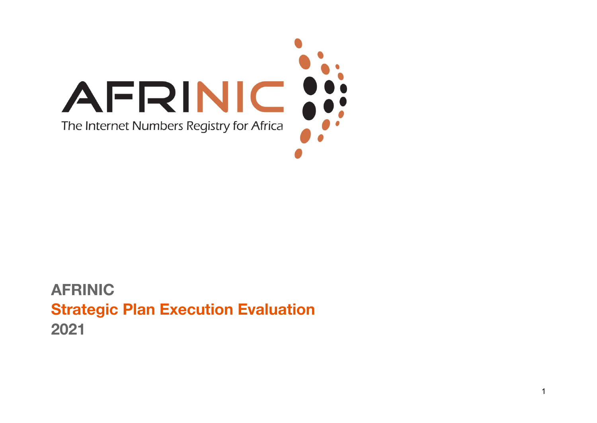

#### **AFRINIC Strategic Plan Execution Evaluation 2021**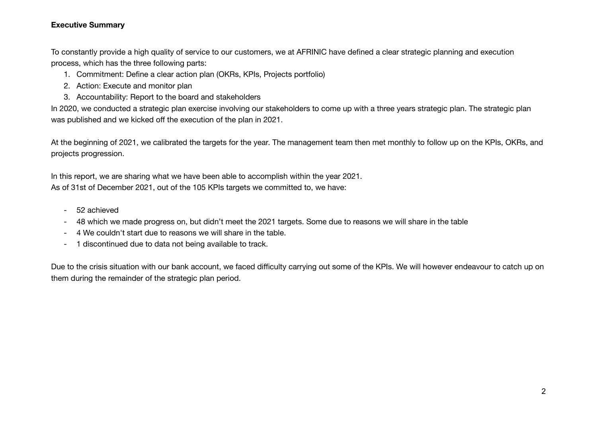#### **Executive Summary**

To constantly provide a high quality of service to our customers, we at AFRINIC have defined a clear strategic planning and execution process, which has the three following parts:

- 1. Commitment: Define a clear action plan (OKRs, KPIs, Projects portfolio)
- 2. Action: Execute and monitor plan
- 3. Accountability: Report to the board and stakeholders

In 2020, we conducted a strategic plan exercise involving our stakeholders to come up with a three years strategic plan. The strategic plan was published and we kicked off the execution of the plan in 2021.

At the beginning of 2021, we calibrated the targets for the year. The management team then met monthly to follow up on the KPIs, OKRs, and projects progression.

In this report, we are sharing what we have been able to accomplish within the year 2021. As of 31st of December 2021, out of the 105 KPIs targets we committed to, we have:

- 52 achieved
- 48 which we made progress on, but didn't meet the 2021 targets. Some due to reasons we will share in the table
- 4 We couldn't start due to reasons we will share in the table.
- 1 discontinued due to data not being available to track.

Due to the crisis situation with our bank account, we faced difficulty carrying out some of the KPIs. We will however endeavour to catch up on them during the remainder of the strategic plan period.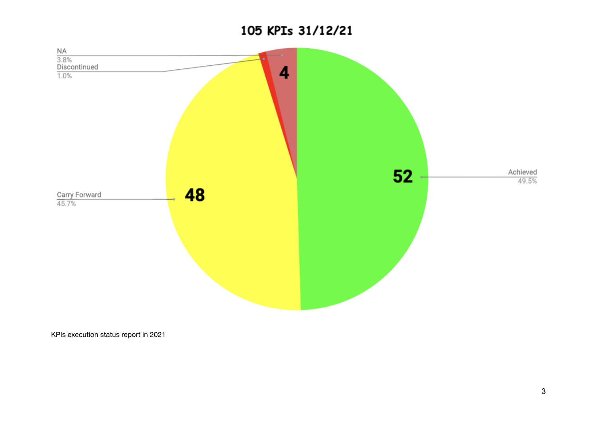#### 105 KPIs 31/12/21



KPIs execution status report in 2021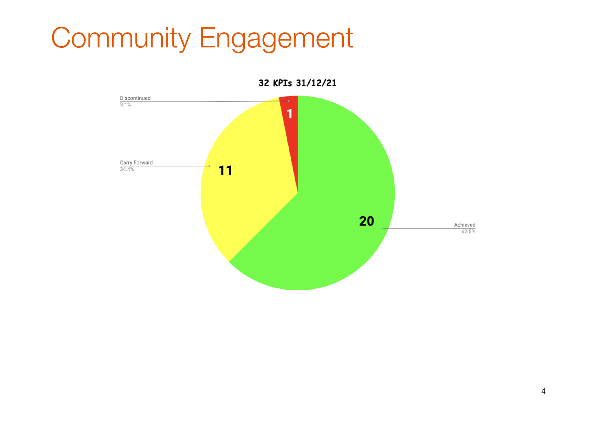# Community Engagement

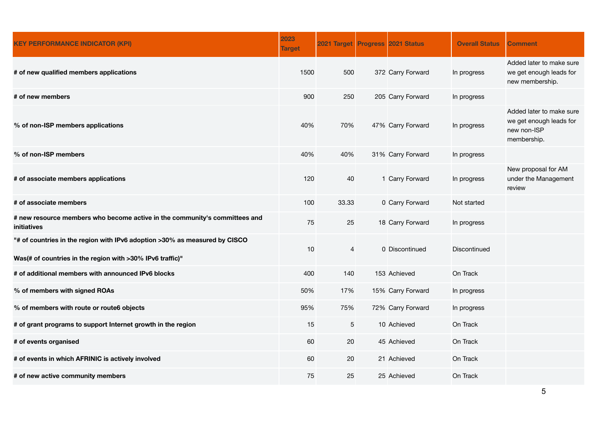| <b>KEY PERFORMANCE INDICATOR (KPI)</b>                                                                                                  | 2023<br><b>Target</b> | 2021 Target Progress 2021 Status |                   | <b>Overall Status</b> | <b>Comment</b>                                                                    |
|-----------------------------------------------------------------------------------------------------------------------------------------|-----------------------|----------------------------------|-------------------|-----------------------|-----------------------------------------------------------------------------------|
| # of new qualified members applications                                                                                                 | 1500                  | 500                              | 372 Carry Forward | In progress           | Added later to make sure<br>we get enough leads for<br>new membership.            |
| # of new members                                                                                                                        | 900                   | 250                              | 205 Carry Forward | In progress           |                                                                                   |
| % of non-ISP members applications                                                                                                       | 40%                   | 70%                              | 47% Carry Forward | In progress           | Added later to make sure<br>we get enough leads for<br>new non-ISP<br>membership. |
| % of non-ISP members                                                                                                                    | 40%                   | 40%                              | 31% Carry Forward | In progress           |                                                                                   |
| # of associate members applications                                                                                                     | 120                   | 40                               | 1 Carry Forward   | In progress           | New proposal for AM<br>under the Management<br>review                             |
| # of associate members                                                                                                                  | 100                   | 33.33                            | 0 Carry Forward   | Not started           |                                                                                   |
| # new resource members who become active in the community's committees and<br>initiatives                                               | 75                    | 25                               | 18 Carry Forward  | In progress           |                                                                                   |
| "# of countries in the region with IPv6 adoption >30% as measured by CISCO<br>Was(# of countries in the region with >30% IPv6 traffic)" | 10                    | 4                                | 0 Discontinued    | <b>Discontinued</b>   |                                                                                   |
| # of additional members with announced IPv6 blocks                                                                                      | 400                   | 140                              | 153 Achieved      | On Track              |                                                                                   |
| % of members with signed ROAs                                                                                                           | 50%                   | 17%                              | 15% Carry Forward | In progress           |                                                                                   |
| % of members with route or route6 objects                                                                                               | 95%                   | 75%                              | 72% Carry Forward | In progress           |                                                                                   |
| # of grant programs to support Internet growth in the region                                                                            | 15                    | 5                                | 10 Achieved       | On Track              |                                                                                   |
| # of events organised                                                                                                                   | 60                    | 20                               | 45 Achieved       | On Track              |                                                                                   |
| # of events in which AFRINIC is actively involved                                                                                       | 60                    | 20                               | 21 Achieved       | On Track              |                                                                                   |
| # of new active community members                                                                                                       | 75                    | 25                               | 25 Achieved       | On Track              |                                                                                   |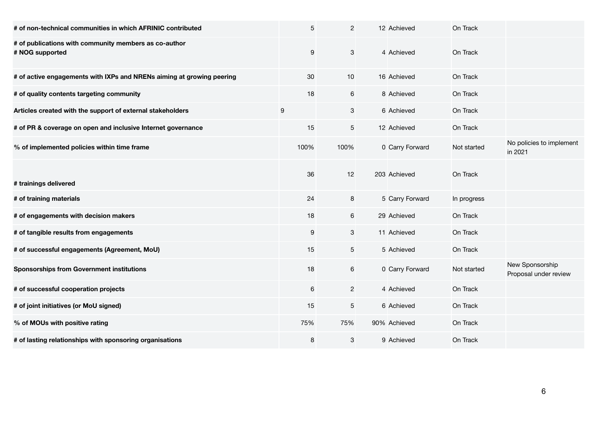| # of non-technical communities in which AFRINIC contributed              | $\overline{5}$   | $\overline{2}$            | 12 Achieved     | On Track    |                                          |
|--------------------------------------------------------------------------|------------------|---------------------------|-----------------|-------------|------------------------------------------|
| # of publications with community members as co-author<br># NOG supported | 9                | $\ensuremath{\mathsf{3}}$ | 4 Achieved      | On Track    |                                          |
| # of active engagements with IXPs and NRENs aiming at growing peering    | 30               | 10                        | 16 Achieved     | On Track    |                                          |
| # of quality contents targeting community                                | 18               | $\,6\,$                   | 8 Achieved      | On Track    |                                          |
| Articles created with the support of external stakeholders               | $\boldsymbol{9}$ | 3                         | 6 Achieved      | On Track    |                                          |
| # of PR & coverage on open and inclusive Internet governance             | 15               | 5                         | 12 Achieved     | On Track    |                                          |
| % of implemented policies within time frame                              | 100%             | 100%                      | 0 Carry Forward | Not started | No policies to implement<br>in 2021      |
| # trainings delivered                                                    | 36               | 12                        | 203 Achieved    | On Track    |                                          |
| # of training materials                                                  | 24               | 8                         | 5 Carry Forward | In progress |                                          |
| # of engagements with decision makers                                    | 18               | $\,6\,$                   | 29 Achieved     | On Track    |                                          |
| # of tangible results from engagements                                   | $\boldsymbol{9}$ | $\mathbf 3$               | 11 Achieved     | On Track    |                                          |
| # of successful engagements (Agreement, MoU)                             | 15               | 5                         | 5 Achieved      | On Track    |                                          |
| <b>Sponsorships from Government institutions</b>                         | 18               | 6                         | 0 Carry Forward | Not started | New Sponsorship<br>Proposal under review |
| # of successful cooperation projects                                     | 6                | $\mathbf{2}$              | 4 Achieved      | On Track    |                                          |
| # of joint initiatives (or MoU signed)                                   | 15               | 5                         | 6 Achieved      | On Track    |                                          |
| % of MOUs with positive rating                                           | 75%              | 75%                       | 90% Achieved    | On Track    |                                          |
| # of lasting relationships with sponsoring organisations                 | 8                | $\ensuremath{\mathsf{3}}$ | 9 Achieved      | On Track    |                                          |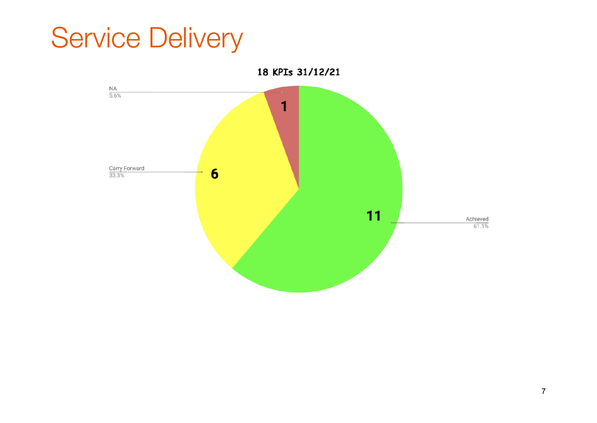### Service Delivery

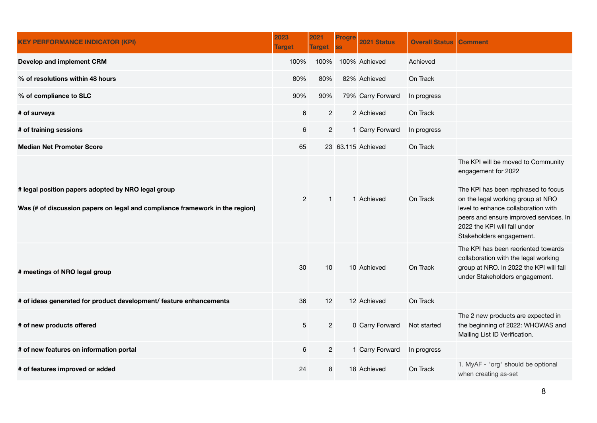| <b>KEY PERFORMANCE INDICATOR (KPI)</b>                                                                                             | 2023<br><b>Target</b> | 2021<br><b>Target</b> | Progre<br><b>SS</b> | 2021 Status        | <b>Overall Status</b> | <b>Comment</b>                                                                                                                                                                                                                                                                     |
|------------------------------------------------------------------------------------------------------------------------------------|-----------------------|-----------------------|---------------------|--------------------|-----------------------|------------------------------------------------------------------------------------------------------------------------------------------------------------------------------------------------------------------------------------------------------------------------------------|
| Develop and implement CRM                                                                                                          | 100%                  | 100%                  |                     | 100% Achieved      | Achieved              |                                                                                                                                                                                                                                                                                    |
| % of resolutions within 48 hours                                                                                                   | 80%                   | 80%                   |                     | 82% Achieved       | On Track              |                                                                                                                                                                                                                                                                                    |
| % of compliance to SLC                                                                                                             | 90%                   | 90%                   |                     | 79% Carry Forward  | In progress           |                                                                                                                                                                                                                                                                                    |
| # of surveys                                                                                                                       | 6                     | $\overline{2}$        |                     | 2 Achieved         | On Track              |                                                                                                                                                                                                                                                                                    |
| # of training sessions                                                                                                             | 6                     | $\overline{2}$        |                     | 1 Carry Forward    | In progress           |                                                                                                                                                                                                                                                                                    |
| <b>Median Net Promoter Score</b>                                                                                                   | 65                    |                       |                     | 23 63.115 Achieved | On Track              |                                                                                                                                                                                                                                                                                    |
| # legal position papers adopted by NRO legal group<br>Was (# of discussion papers on legal and compliance framework in the region) | $\overline{2}$        | $\mathbf{1}$          |                     | 1 Achieved         | On Track              | The KPI will be moved to Community<br>engagement for 2022<br>The KPI has been rephrased to focus<br>on the legal working group at NRO<br>level to enhance collaboration with<br>peers and ensure improved services. In<br>2022 the KPI will fall under<br>Stakeholders engagement. |
| # meetings of NRO legal group                                                                                                      | 30                    | 10                    |                     | 10 Achieved        | On Track              | The KPI has been reoriented towards<br>collaboration with the legal working<br>group at NRO. In 2022 the KPI will fall<br>under Stakeholders engagement.                                                                                                                           |
| # of ideas generated for product development/ feature enhancements                                                                 | 36                    | 12                    |                     | 12 Achieved        | On Track              |                                                                                                                                                                                                                                                                                    |
| # of new products offered                                                                                                          | 5                     | $\overline{2}$        |                     | 0 Carry Forward    | Not started           | The 2 new products are expected in<br>the beginning of 2022: WHOWAS and<br>Mailing List ID Verification.                                                                                                                                                                           |
| # of new features on information portal                                                                                            | 6                     | $\overline{2}$        |                     | 1 Carry Forward    | In progress           |                                                                                                                                                                                                                                                                                    |
| # of features improved or added                                                                                                    | 24                    | 8                     |                     | 18 Achieved        | On Track              | 1. MyAF - "org" should be optional<br>when creating as-set                                                                                                                                                                                                                         |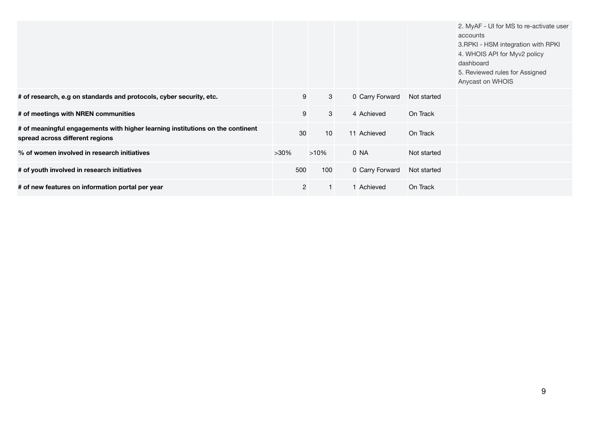|                                                                                                                   |                |              |                 |             | 2. MyAF - UI for MS to re-activate user<br>accounts<br>3. RPKI - HSM integration with RPKI<br>4. WHOIS API for Myv2 policy<br>dashboard<br>5. Reviewed rules for Assigned<br>Anycast on WHOIS |
|-------------------------------------------------------------------------------------------------------------------|----------------|--------------|-----------------|-------------|-----------------------------------------------------------------------------------------------------------------------------------------------------------------------------------------------|
| # of research, e.g on standards and protocols, cyber security, etc.                                               | $9\,$          | $\mathbf{3}$ | 0 Carry Forward | Not started |                                                                                                                                                                                               |
| # of meetings with NREN communities                                                                               | 9              | 3            | 4 Achieved      | On Track    |                                                                                                                                                                                               |
| # of meaningful engagements with higher learning institutions on the continent<br>spread across different regions | 30             | 10           | 11 Achieved     | On Track    |                                                                                                                                                                                               |
| % of women involved in research initiatives                                                                       | $>30\%$        | $>10\%$      | 0 NA            | Not started |                                                                                                                                                                                               |
| # of youth involved in research initiatives                                                                       | 500            | 100          | 0 Carry Forward | Not started |                                                                                                                                                                                               |
| # of new features on information portal per year                                                                  | $\overline{2}$ |              | 1 Achieved      | On Track    |                                                                                                                                                                                               |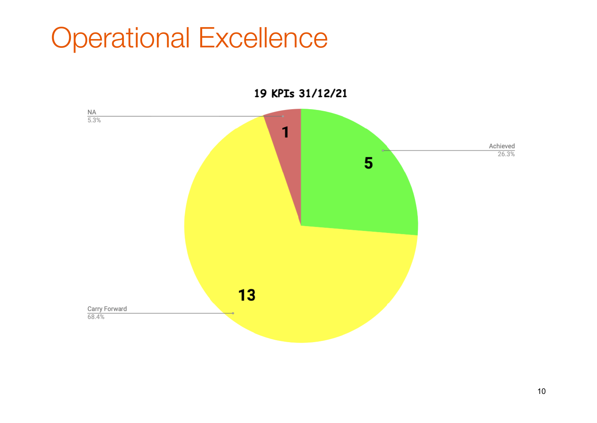#### Operational Excellence



19 KPIs 31/12/21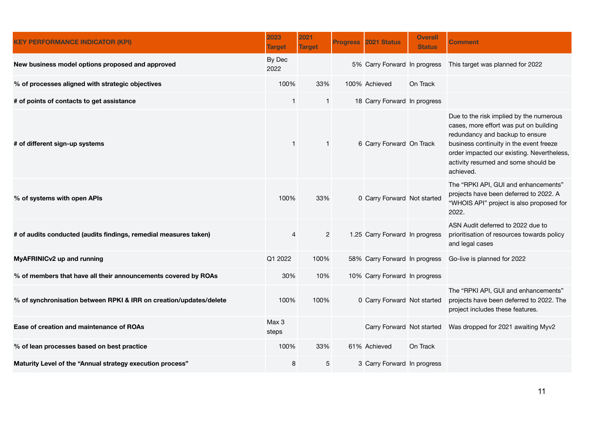| <b>KEY PERFORMANCE INDICATOR (KPI)</b>                             | 2023<br><b>Target</b> | 2021<br><b>Target</b> | <b>Progress</b> | 2021 Status                    | <b>Overall</b><br><b>Status</b> | Comment                                                                                                                                                                                                                                                           |
|--------------------------------------------------------------------|-----------------------|-----------------------|-----------------|--------------------------------|---------------------------------|-------------------------------------------------------------------------------------------------------------------------------------------------------------------------------------------------------------------------------------------------------------------|
| New business model options proposed and approved                   | By Dec<br>2022        |                       |                 |                                |                                 | 5% Carry Forward In progress This target was planned for 2022                                                                                                                                                                                                     |
| % of processes aligned with strategic objectives                   | 100%                  | 33%                   |                 | 100% Achieved                  | On Track                        |                                                                                                                                                                                                                                                                   |
| # of points of contacts to get assistance                          | 1                     | $\mathbf{1}$          |                 | 18 Carry Forward In progress   |                                 |                                                                                                                                                                                                                                                                   |
| # of different sign-up systems                                     | $\mathbf{1}$          | $\mathbf{1}$          |                 | 6 Carry Forward On Track       |                                 | Due to the risk implied by the numerous<br>cases, more effort was put on building<br>redundancy and backup to ensure<br>business continuity in the event freeze<br>order impacted our existing. Nevertheless,<br>activity resumed and some should be<br>achieved. |
| % of systems with open APIs                                        | 100%                  | 33%                   |                 | 0 Carry Forward Not started    |                                 | The "RPKI API, GUI and enhancements"<br>projects have been deferred to 2022. A<br>"WHOIS API" project is also proposed for<br>2022.                                                                                                                               |
| # of audits conducted (audits findings, remedial measures taken)   | $\overline{4}$        | $\overline{2}$        |                 | 1.25 Carry Forward In progress |                                 | ASN Audit deferred to 2022 due to<br>prioritisation of resources towards policy<br>and legal cases                                                                                                                                                                |
| MyAFRINICv2 up and running                                         | Q1 2022               | 100%                  |                 | 58% Carry Forward In progress  |                                 | Go-live is planned for 2022                                                                                                                                                                                                                                       |
| % of members that have all their announcements covered by ROAs     | 30%                   | 10%                   |                 | 10% Carry Forward In progress  |                                 |                                                                                                                                                                                                                                                                   |
| % of synchronisation between RPKI & IRR on creation/updates/delete | 100%                  | 100%                  |                 | 0 Carry Forward Not started    |                                 | The "RPKI API, GUI and enhancements"<br>projects have been deferred to 2022. The<br>project includes these features.                                                                                                                                              |
| Ease of creation and maintenance of ROAs                           | Max 3<br>steps        |                       |                 |                                |                                 | Carry Forward Not started Was dropped for 2021 awaiting Myv2                                                                                                                                                                                                      |
| % of lean processes based on best practice                         | 100%                  | 33%                   |                 | 61% Achieved                   | On Track                        |                                                                                                                                                                                                                                                                   |
| Maturity Level of the "Annual strategy execution process"          | 8                     | 5                     |                 | 3 Carry Forward In progress    |                                 |                                                                                                                                                                                                                                                                   |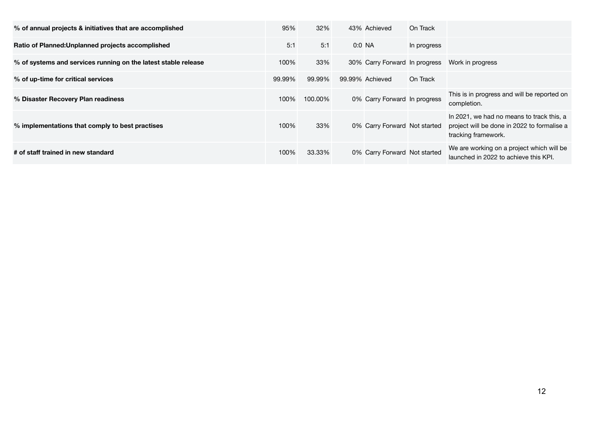| % of annual projects & initiatives that are accomplished       | 95%    | 32%     | 43% Achieved                  | On Track    |                                                                                                                 |
|----------------------------------------------------------------|--------|---------|-------------------------------|-------------|-----------------------------------------------------------------------------------------------------------------|
| Ratio of Planned: Unplanned projects accomplished              | 5:1    | 5:1     | $0:0$ NA                      | In progress |                                                                                                                 |
| % of systems and services running on the latest stable release | 100%   | 33%     | 30% Carry Forward In progress |             | Work in progress                                                                                                |
| % of up-time for critical services                             | 99.99% | 99.99%  | 99.99% Achieved               | On Track    |                                                                                                                 |
| % Disaster Recovery Plan readiness                             | 100%   | 100.00% | 0% Carry Forward In progress  |             | This is in progress and will be reported on<br>completion.                                                      |
| % implementations that comply to best practises                | 100%   | 33%     | 0% Carry Forward Not started  |             | In 2021, we had no means to track this, a<br>project will be done in 2022 to formalise a<br>tracking framework. |
| # of staff trained in new standard                             | 100%   | 33.33%  | 0% Carry Forward Not started  |             | We are working on a project which will be<br>launched in 2022 to achieve this KPI.                              |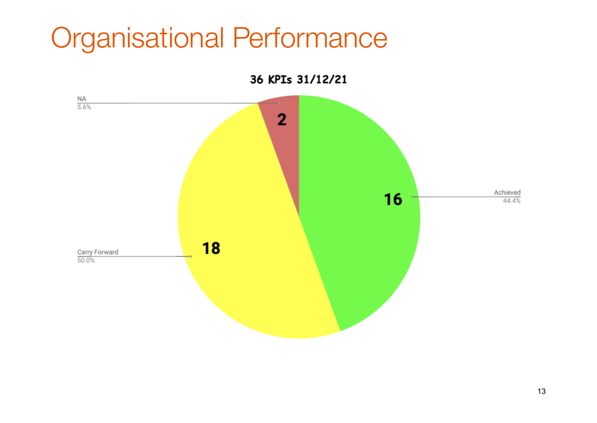#### Organisational Performance

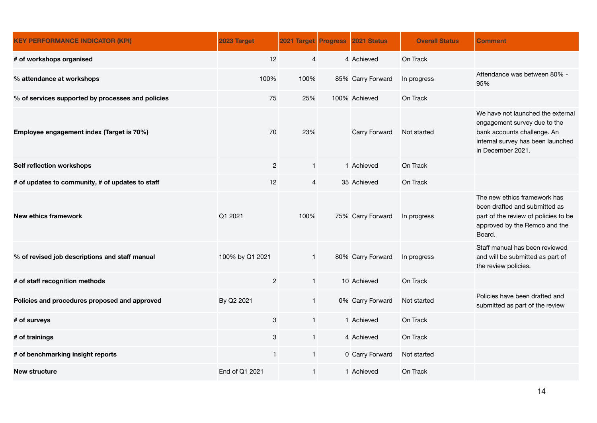| <b>KEY PERFORMANCE INDICATOR (KPI)</b>            | 2023 Target     | 2021 Target Progress | 2021 Status       | <b>Overall Status</b> | <b>Comment</b>                                                                                                                                             |
|---------------------------------------------------|-----------------|----------------------|-------------------|-----------------------|------------------------------------------------------------------------------------------------------------------------------------------------------------|
| # of workshops organised                          | 12              | $\overline{4}$       | 4 Achieved        | On Track              |                                                                                                                                                            |
| % attendance at workshops                         | 100%            | 100%                 | 85% Carry Forward | In progress           | Attendance was between 80% -<br>95%                                                                                                                        |
| % of services supported by processes and policies | 75              | 25%                  | 100% Achieved     | On Track              |                                                                                                                                                            |
| Employee engagement index (Target is 70%)         | 70              | 23%                  | Carry Forward     | Not started           | We have not launched the external<br>engagement survey due to the<br>bank accounts challenge. An<br>internal survey has been launched<br>in December 2021. |
| Self reflection workshops                         | $\overline{c}$  | $\mathbf{1}$         | 1 Achieved        | On Track              |                                                                                                                                                            |
| # of updates to community, # of updates to staff  | 12              | $\overline{4}$       | 35 Achieved       | On Track              |                                                                                                                                                            |
| <b>New ethics framework</b>                       | Q1 2021         | 100%                 | 75% Carry Forward | In progress           | The new ethics framework has<br>been drafted and submitted as<br>part of the review of policies to be<br>approved by the Remco and the<br>Board.           |
| % of revised job descriptions and staff manual    | 100% by Q1 2021 | $\mathbf{1}$         | 80% Carry Forward | In progress           | Staff manual has been reviewed<br>and will be submitted as part of<br>the review policies.                                                                 |
| # of staff recognition methods                    | $\overline{2}$  | $\mathbf{1}$         | 10 Achieved       | On Track              |                                                                                                                                                            |
| Policies and procedures proposed and approved     | By Q2 2021      | $\mathbf{1}$         | 0% Carry Forward  | Not started           | Policies have been drafted and<br>submitted as part of the review                                                                                          |
| # of surveys                                      | 3               | $\mathbf{1}$         | 1 Achieved        | On Track              |                                                                                                                                                            |
| # of trainings                                    | $\mathbf{3}$    | $\mathbf{1}$         | 4 Achieved        | On Track              |                                                                                                                                                            |
| # of benchmarking insight reports                 | $\mathbf{1}$    | $\mathbf{1}$         | 0 Carry Forward   | Not started           |                                                                                                                                                            |
| <b>New structure</b>                              | End of Q1 2021  | $\mathbf{1}$         | 1 Achieved        | On Track              |                                                                                                                                                            |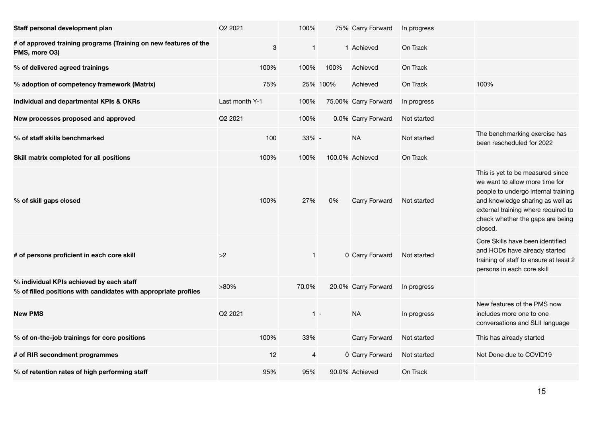| Staff personal development plan                                                                             | Q2 2021        | 100%         |          | 75% Carry Forward    | In progress |                                                                                                                                                                                                                                     |
|-------------------------------------------------------------------------------------------------------------|----------------|--------------|----------|----------------------|-------------|-------------------------------------------------------------------------------------------------------------------------------------------------------------------------------------------------------------------------------------|
| # of approved training programs (Training on new features of the<br>PMS, more O3)                           | 3              | $\mathbf{1}$ |          | 1 Achieved           | On Track    |                                                                                                                                                                                                                                     |
| % of delivered agreed trainings                                                                             | 100%           | 100%         | 100%     | Achieved             | On Track    |                                                                                                                                                                                                                                     |
| % adoption of competency framework (Matrix)                                                                 | 75%            |              | 25% 100% | Achieved             | On Track    | 100%                                                                                                                                                                                                                                |
| Individual and departmental KPIs & OKRs                                                                     | Last month Y-1 | 100%         |          | 75.00% Carry Forward | In progress |                                                                                                                                                                                                                                     |
| New processes proposed and approved                                                                         | Q2 2021        | 100%         |          | 0.0% Carry Forward   | Not started |                                                                                                                                                                                                                                     |
| % of staff skills benchmarked                                                                               | 100            | 33% -        |          | <b>NA</b>            | Not started | The benchmarking exercise has<br>been rescheduled for 2022                                                                                                                                                                          |
| Skill matrix completed for all positions                                                                    | 100%           | 100%         |          | 100.0% Achieved      | On Track    |                                                                                                                                                                                                                                     |
| % of skill gaps closed                                                                                      | 100%           | 27%          | 0%       | Carry Forward        | Not started | This is yet to be measured since<br>we want to allow more time for<br>people to undergo internal training<br>and knowledge sharing as well as<br>external training where required to<br>check whether the gaps are being<br>closed. |
| # of persons proficient in each core skill                                                                  | >2             | $\mathbf{1}$ |          | 0 Carry Forward      | Not started | Core Skills have been identified<br>and HODs have already started<br>training of staff to ensure at least 2<br>persons in each core skill                                                                                           |
| % individual KPIs achieved by each staff<br>% of filled positions with candidates with appropriate profiles | $>80\%$        | 70.0%        |          | 20.0% Carry Forward  | In progress |                                                                                                                                                                                                                                     |
| <b>New PMS</b>                                                                                              | Q2 2021        | $1 -$        |          | <b>NA</b>            | In progress | New features of the PMS now<br>includes more one to one<br>conversations and SLII language                                                                                                                                          |
| % of on-the-job trainings for core positions                                                                | 100%           | 33%          |          | Carry Forward        | Not started | This has already started                                                                                                                                                                                                            |
| # of RIR secondment programmes                                                                              | 12             | 4            |          | 0 Carry Forward      | Not started | Not Done due to COVID19                                                                                                                                                                                                             |
| % of retention rates of high performing staff                                                               | 95%            | 95%          |          | 90.0% Achieved       | On Track    |                                                                                                                                                                                                                                     |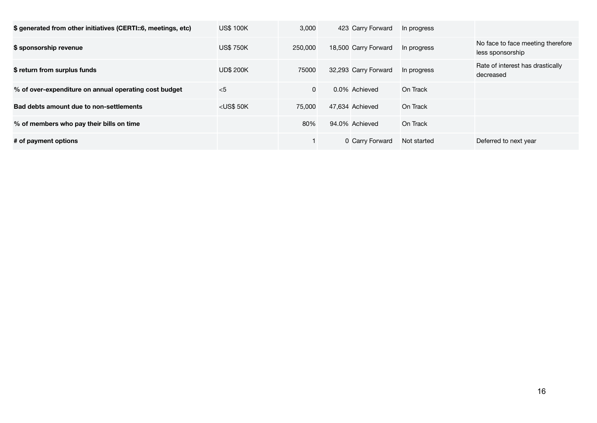| \$ generated from other initiatives (CERTI::6, meetings, etc) | <b>US\$ 100K</b> | 3,000    | 423 Carry Forward    | In progress |                                                       |
|---------------------------------------------------------------|------------------|----------|----------------------|-------------|-------------------------------------------------------|
| \$ sponsorship revenue                                        | <b>US\$750K</b>  | 250.000  | 18,500 Carry Forward | In progress | No face to face meeting therefore<br>less sponsorship |
| \$ return from surplus funds                                  | <b>UD\$ 200K</b> | 75000    | 32,293 Carry Forward | In progress | Rate of interest has drastically<br>decreased         |
| % of over-expenditure on annual operating cost budget         | $<$ 5            | $\Omega$ | 0.0% Achieved        | On Track    |                                                       |
| Bad debts amount due to non-settlements                       | $<$ US\$ 50K     | 75,000   | 47.634 Achieved      | On Track    |                                                       |
| % of members who pay their bills on time                      |                  | 80%      | 94.0% Achieved       | On Track    |                                                       |
| # of payment options                                          |                  |          | 0 Carry Forward      | Not started | Deferred to next year                                 |